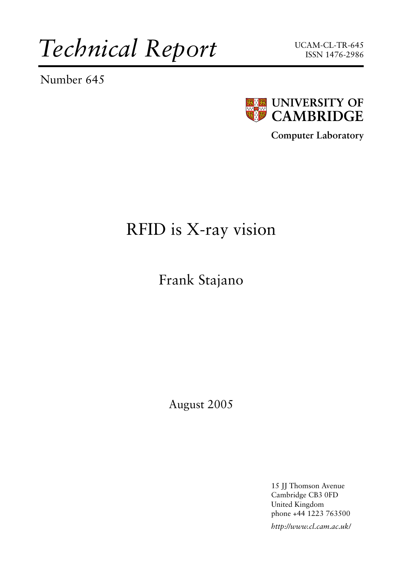*Technical Report*

Number 645





**Computer Laboratory**

# RFID is X-ray vision

Frank Stajano

August 2005

15 JJ Thomson Avenue Cambridge CB3 0FD United Kingdom phone +44 1223 763500

*http://www.cl.cam.ac.uk/*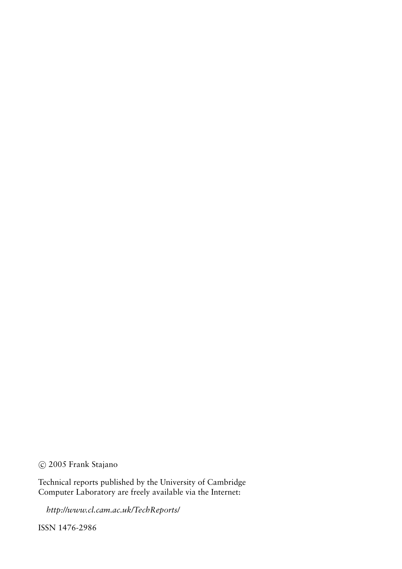c 2005 Frank Stajano

Technical reports published by the University of Cambridge Computer Laboratory are freely available via the Internet:

*http://www.cl.cam.ac.uk/TechReports/*

ISSN 1476-2986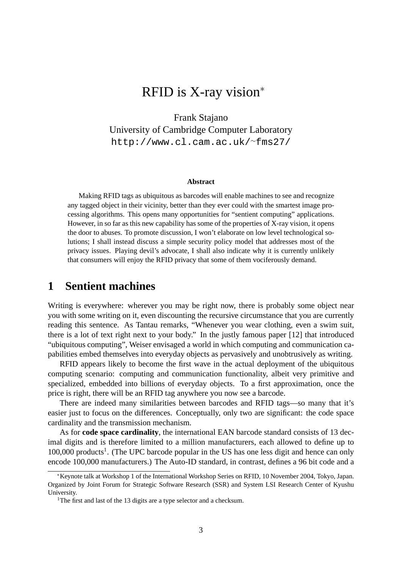## RFID is X-ray vision<sup>∗</sup>

Frank Stajano University of Cambridge Computer Laboratory [http://www.cl.cam.ac.uk/](http://www.cl.cam.ac.uk/~fms27/)<sup>∼</sup>fms27/

#### **Abstract**

Making RFID tags as ubiquitous as barcodes will enable machines to see and recognize any tagged object in their vicinity, better than they ever could with the smartest image processing algorithms. This opens many opportunities for "sentient computing" applications. However, in so far as this new capability has some of the properties of X-ray vision, it opens the door to abuses. To promote discussion, I won't elaborate on low level technological solutions; I shall instead discuss a simple security policy model that addresses most of the privacy issues. Playing devil's advocate, I shall also indicate why it is currently unlikely that consumers will enjoy the RFID privacy that some of them vociferously demand.

#### **1 Sentient machines**

Writing is everywhere: wherever you may be right now, there is probably some object near you with some writing on it, even discounting the recursive circumstance that you are currently reading this sentence. As Tantau remarks, "Whenever you wear clothing, even a swim suit, there is a lot of text right next to your body." In the justly famous paper [\[12\]](#page-9-0) that introduced "ubiquitous computing", Weiser envisaged a world in which computing and communication capabilities embed themselves into everyday objects as pervasively and unobtrusively as writing.

RFID appears likely to become the first wave in the actual deployment of the ubiquitous computing scenario: computing and communication functionality, albeit very primitive and specialized, embedded into billions of everyday objects. To a first approximation, once the price is right, there will be an RFID tag anywhere you now see a barcode.

There are indeed many similarities between barcodes and RFID tags—so many that it's easier just to focus on the differences. Conceptually, only two are significant: the code space cardinality and the transmission mechanism.

As for **code space cardinality**, the international EAN barcode standard consists of 13 decimal digits and is therefore limited to a million manufacturers, each allowed to define up to [1](#page-2-0)00,000 products<sup>1</sup>. (The UPC barcode popular in the US has one less digit and hence can only encode 100,000 manufacturers.) The Auto-ID standard, in contrast, defines a 96 bit code and a

<sup>∗</sup>Keynote talk at Workshop 1 of the International Workshop Series on RFID, 10 November 2004, Tokyo, Japan. Organized by Joint Forum for Strategic Software Research (SSR) and System LSI Research Center of Kyushu University.

<span id="page-2-0"></span><sup>&</sup>lt;sup>1</sup>The first and last of the 13 digits are a type selector and a checksum.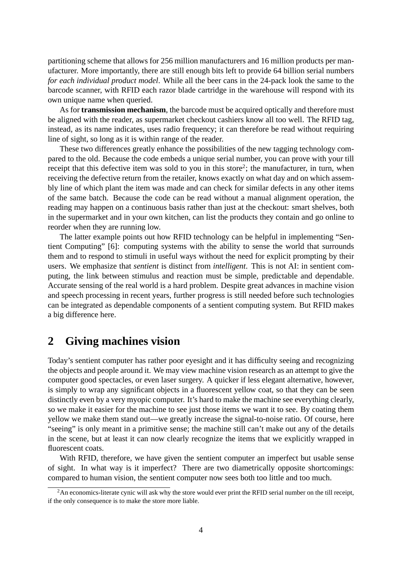partitioning scheme that allows for 256 million manufacturers and 16 million products per manufacturer. More importantly, there are still enough bits left to provide 64 billion serial numbers *for each individual product model*. While all the beer cans in the 24-pack look the same to the barcode scanner, with RFID each razor blade cartridge in the warehouse will respond with its own unique name when queried.

As for **transmission mechanism**, the barcode must be acquired optically and therefore must be aligned with the reader, as supermarket checkout cashiers know all too well. The RFID tag, instead, as its name indicates, uses radio frequency; it can therefore be read without requiring line of sight, so long as it is within range of the reader.

These two differences greatly enhance the possibilities of the new tagging technology compared to the old. Because the code embeds a unique serial number, you can prove with your till receipt that this defective item was sold to you in this store<sup>[2](#page-3-0)</sup>; the manufacturer, in turn, when receiving the defective return from the retailer, knows exactly on what day and on which assembly line of which plant the item was made and can check for similar defects in any other items of the same batch. Because the code can be read without a manual alignment operation, the reading may happen on a continuous basis rather than just at the checkout: smart shelves, both in the supermarket and in your own kitchen, can list the products they contain and go online to reorder when they are running low.

The latter example points out how RFID technology can be helpful in implementing "Sentient Computing" [\[6\]](#page-9-1): computing systems with the ability to sense the world that surrounds them and to respond to stimuli in useful ways without the need for explicit prompting by their users. We emphasize that *sentient* is distinct from *intelligent*. This is not AI: in sentient computing, the link between stimulus and reaction must be simple, predictable and dependable. Accurate sensing of the real world is a hard problem. Despite great advances in machine vision and speech processing in recent years, further progress is still needed before such technologies can be integrated as dependable components of a sentient computing system. But RFID makes a big difference here.

#### **2 Giving machines vision**

Today's sentient computer has rather poor eyesight and it has difficulty seeing and recognizing the objects and people around it. We may view machine vision research as an attempt to give the computer good spectacles, or even laser surgery. A quicker if less elegant alternative, however, is simply to wrap any significant objects in a fluorescent yellow coat, so that they can be seen distinctly even by a very myopic computer. It's hard to make the machine see everything clearly, so we make it easier for the machine to see just those items we want it to see. By coating them yellow we make them stand out—we greatly increase the signal-to-noise ratio. Of course, here "seeing" is only meant in a primitive sense; the machine still can't make out any of the details in the scene, but at least it can now clearly recognize the items that we explicitly wrapped in fluorescent coats.

With RFID, therefore, we have given the sentient computer an imperfect but usable sense of sight. In what way is it imperfect? There are two diametrically opposite shortcomings: compared to human vision, the sentient computer now sees both too little and too much.

<span id="page-3-0"></span> $2<sup>2</sup>$ An economics-literate cynic will ask why the store would ever print the RFID serial number on the till receipt, if the only consequence is to make the store more liable.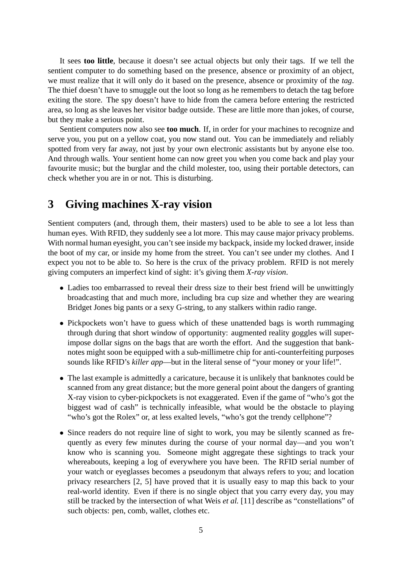It sees **too little**, because it doesn't see actual objects but only their tags. If we tell the sentient computer to do something based on the presence, absence or proximity of an object, we must realize that it will only do it based on the presence, absence or proximity of the *tag*. The thief doesn't have to smuggle out the loot so long as he remembers to detach the tag before exiting the store. The spy doesn't have to hide from the camera before entering the restricted area, so long as she leaves her visitor badge outside. These are little more than jokes, of course, but they make a serious point.

Sentient computers now also see **too much**. If, in order for your machines to recognize and serve you, you put on a yellow coat, you now stand out. You can be immediately and reliably spotted from very far away, not just by your own electronic assistants but by anyone else too. And through walls. Your sentient home can now greet you when you come back and play your favourite music; but the burglar and the child molester, too, using their portable detectors, can check whether you are in or not. This is disturbing.

### **3 Giving machines X-ray vision**

Sentient computers (and, through them, their masters) used to be able to see a lot less than human eyes. With RFID, they suddenly see a lot more. This may cause major privacy problems. With normal human eyesight, you can't see inside my backpack, inside my locked drawer, inside the boot of my car, or inside my home from the street. You can't see under my clothes. And I expect you not to be able to. So here is the crux of the privacy problem. RFID is not merely giving computers an imperfect kind of sight: it's giving them *X-ray vision*.

- Ladies too embarrassed to reveal their dress size to their best friend will be unwittingly broadcasting that and much more, including bra cup size and whether they are wearing Bridget Jones big pants or a sexy G-string, to any stalkers within radio range.
- Pickpockets won't have to guess which of these unattended bags is worth rummaging through during that short window of opportunity: augmented reality goggles will superimpose dollar signs on the bags that are worth the effort. And the suggestion that banknotes might soon be equipped with a sub-millimetre chip for anti-counterfeiting purposes sounds like RFID's *killer app*—but in the literal sense of "your money or your life!".
- The last example is admittedly a caricature, because it is unlikely that banknotes could be scanned from any great distance; but the more general point about the dangers of granting X-ray vision to cyber-pickpockets is not exaggerated. Even if the game of "who's got the biggest wad of cash" is technically infeasible, what would be the obstacle to playing "who's got the Rolex" or, at less exalted levels, "who's got the trendy cellphone"?
- Since readers do not require line of sight to work, you may be silently scanned as frequently as every few minutes during the course of your normal day—and you won't know who is scanning you. Someone might aggregate these sightings to track your whereabouts, keeping a log of everywhere you have been. The RFID serial number of your watch or eyeglasses becomes a pseudonym that always refers to you; and location privacy researchers [\[2,](#page-8-0) [5\]](#page-9-2) have proved that it is usually easy to map this back to your real-world identity. Even if there is no single object that you carry every day, you may still be tracked by the intersection of what Weis *et al.* [\[11\]](#page-9-3) describe as "constellations" of such objects: pen, comb, wallet, clothes etc.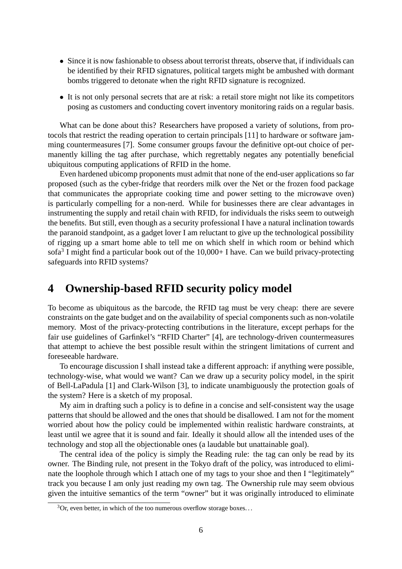- Since it is now fashionable to obsess about terrorist threats, observe that, if individuals can be identified by their RFID signatures, political targets might be ambushed with dormant bombs triggered to detonate when the right RFID signature is recognized.
- It is not only personal secrets that are at risk: a retail store might not like its competitors posing as customers and conducting covert inventory monitoring raids on a regular basis.

What can be done about this? Researchers have proposed a variety of solutions, from protocols that restrict the reading operation to certain principals [\[11\]](#page-9-3) to hardware or software jamming countermeasures [\[7\]](#page-9-4). Some consumer groups favour the definitive opt-out choice of permanently killing the tag after purchase, which regrettably negates any potentially beneficial ubiquitous computing applications of RFID in the home.

Even hardened ubicomp proponents must admit that none of the end-user applications so far proposed (such as the cyber-fridge that reorders milk over the Net or the frozen food package that communicates the appropriate cooking time and power setting to the microwave oven) is particularly compelling for a non-nerd. While for businesses there are clear advantages in instrumenting the supply and retail chain with RFID, for individuals the risks seem to outweigh the benefits. But still, even though as a security professional I have a natural inclination towards the paranoid standpoint, as a gadget lover I am reluctant to give up the technological possibility of rigging up a smart home able to tell me on which shelf in which room or behind which sofa<sup>[3](#page-5-0)</sup> I might find a particular book out of the  $10,000+$  I have. Can we build privacy-protecting safeguards into RFID systems?

### **4 Ownership-based RFID security policy model**

To become as ubiquitous as the barcode, the RFID tag must be very cheap: there are severe constraints on the gate budget and on the availability of special components such as non-volatile memory. Most of the privacy-protecting contributions in the literature, except perhaps for the fair use guidelines of Garfinkel's "RFID Charter" [\[4\]](#page-9-5), are technology-driven countermeasures that attempt to achieve the best possible result within the stringent limitations of current and foreseeable hardware.

To encourage discussion I shall instead take a different approach: if anything were possible, technology-wise, what would we want? Can we draw up a security policy model, in the spirit of Bell-LaPadula [\[1\]](#page-8-1) and Clark-Wilson [\[3\]](#page-8-2), to indicate unambiguously the protection goals of the system? Here is a sketch of my proposal.

My aim in drafting such a policy is to define in a concise and self-consistent way the usage patterns that should be allowed and the ones that should be disallowed. I am not for the moment worried about how the policy could be implemented within realistic hardware constraints, at least until we agree that it is sound and fair. Ideally it should allow all the intended uses of the technology and stop all the objectionable ones (a laudable but unattainable goal).

The central idea of the policy is simply the Reading rule: the tag can only be read by its owner. The Binding rule, not present in the Tokyo draft of the policy, was introduced to eliminate the loophole through which I attach one of my tags to your shoe and then I "legitimately" track you because I am only just reading my own tag. The Ownership rule may seem obvious given the intuitive semantics of the term "owner" but it was originally introduced to eliminate

<span id="page-5-0"></span> $3$ Or, even better, in which of the too numerous overflow storage boxes...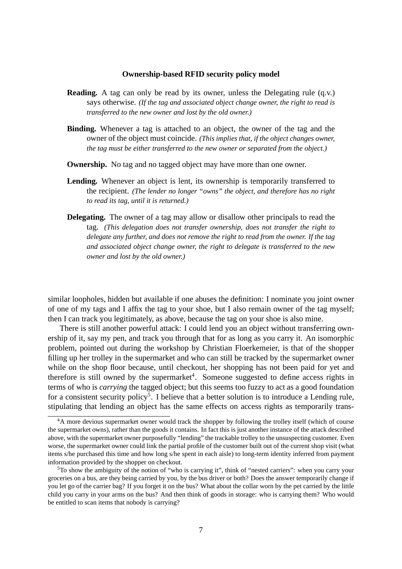#### **Ownership-based RFID security policy model**

- **Reading.** A tag can only be read by its owner, unless the Delegating rule (q.v.) says otherwise. *(If the tag and associated object change owner, the right to read is transferred to the new owner and lost by the old owner.)*
- **Binding.** Whenever a tag is attached to an object, the owner of the tag and the owner of the object must coincide. *(This implies that, if the object changes owner, the tag must be either transferred to the new owner or separated from the object.)*
- **Ownership.** No tag and no tagged object may have more than one owner.
- Lending. Whenever an object is lent, its ownership is temporarily transferred to the recipient. *(The lender no longer "owns" the object, and therefore has no right to read its tag, until it is returned.)*
- **Delegating.** The owner of a tag may allow or disallow other principals to read the tag. *(This delegation does not transfer ownership, does not transfer the right to delegate any further, and does not remove the right to read from the owner. If the tag and associated object change owner, the right to delegate is transferred to the new owner and lost by the old owner.)*

similar loopholes, hidden but available if one abuses the definition: I nominate you joint owner of one of my tags and I affix the tag to your shoe, but I also remain owner of the tag myself; then I can track you legitimately, as above, because the tag on your shoe is also mine.

There is still another powerful attack: I could lend you an object without transferring ownership of it, say my pen, and track you through that for as long as you carry it. An isomorphic problem, pointed out during the workshop by Christian Floerkemeier, is that of the shopper filling up her trolley in the supermarket and who can still be tracked by the supermarket owner while on the shop floor because, until checkout, her shopping has not been paid for yet and therefore is still owned by the supermarket<sup>[4](#page-6-0)</sup>. Someone suggested to define access rights in terms of who is *carrying* the tagged object; but this seems too fuzzy to act as a good foundation for a consistent security policy<sup>[5](#page-6-1)</sup>. I believe that a better solution is to introduce a Lending rule, stipulating that lending an object has the same effects on access rights as temporarily trans-

<span id="page-6-0"></span><sup>&</sup>lt;sup>4</sup>A more devious supermarket owner would track the shopper by following the trolley itself (which of course the supermarket owns), rather than the goods it contains. In fact this is just another instance of the attack described above, with the supermarket owner purposefully "lending" the trackable trolley to the unsuspecting customer. Even worse, the supermarket owner could link the partial profile of the customer built out of the current shop visit (what items s/he purchased this time and how long s/he spent in each aisle) to long-term identity inferred from payment information provided by the shopper on checkout.

<span id="page-6-1"></span><sup>5</sup>To show the ambiguity of the notion of "who is carrying it", think of "nested carriers": when you carry your groceries on a bus, are they being carried by you, by the bus driver or both? Does the answer temporarily change if you let go of the carrier bag? If you forget it on the bus? What about the collar worn by the pet carried by the little child you carry in your arms on the bus? And then think of goods in storage: who is carrying them? Who would be entitled to scan items that nobody is carrying?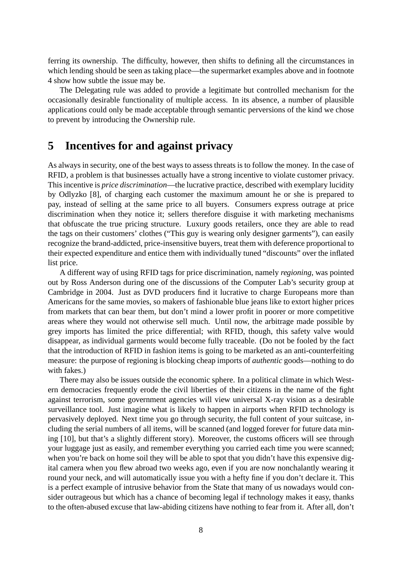ferring its ownership. The difficulty, however, then shifts to defining all the circumstances in which lending should be seen as taking place—the supermarket examples above and in footnote [4](#page-6-0) show how subtle the issue may be.

The Delegating rule was added to provide a legitimate but controlled mechanism for the occasionally desirable functionality of multiple access. In its absence, a number of plausible applications could only be made acceptable through semantic perversions of the kind we chose to prevent by introducing the Ownership rule.

#### **5 Incentives for and against privacy**

As always in security, one of the best ways to assess threats is to follow the money. In the case of RFID, a problem is that businesses actually have a strong incentive to violate customer privacy. This incentive is *price discrimination*—the lucrative practice, described with exemplary lucidity by Odlyzko [\[8\]](#page-9-6), of charging each customer the maximum amount he or she is prepared to pay, instead of selling at the same price to all buyers. Consumers express outrage at price discrimination when they notice it; sellers therefore disguise it with marketing mechanisms that obfuscate the true pricing structure. Luxury goods retailers, once they are able to read the tags on their customers' clothes ("This guy is wearing only designer garments"), can easily recognize the brand-addicted, price-insensitive buyers, treat them with deference proportional to their expected expenditure and entice them with individually tuned "discounts" over the inflated list price.

A different way of using RFID tags for price discrimination, namely *regioning*, was pointed out by Ross Anderson during one of the discussions of the Computer Lab's security group at Cambridge in 2004. Just as DVD producers find it lucrative to charge Europeans more than Americans for the same movies, so makers of fashionable blue jeans like to extort higher prices from markets that can bear them, but don't mind a lower profit in poorer or more competitive areas where they would not otherwise sell much. Until now, the arbitrage made possible by grey imports has limited the price differential; with RFID, though, this safety valve would disappear, as individual garments would become fully traceable. (Do not be fooled by the fact that the introduction of RFID in fashion items is going to be marketed as an anti-counterfeiting measure: the purpose of regioning is blocking cheap imports of *authentic* goods—nothing to do with fakes.)

There may also be issues outside the economic sphere. In a political climate in which Western democracies frequently erode the civil liberties of their citizens in the name of the fight against terrorism, some government agencies will view universal X-ray vision as a desirable surveillance tool. Just imagine what is likely to happen in airports when RFID technology is pervasively deployed. Next time you go through security, the full content of your suitcase, including the serial numbers of all items, will be scanned (and logged forever for future data mining [\[10\]](#page-9-7), but that's a slightly different story). Moreover, the customs officers will see through your luggage just as easily, and remember everything you carried each time you were scanned; when you're back on home soil they will be able to spot that you didn't have this expensive digital camera when you flew abroad two weeks ago, even if you are now nonchalantly wearing it round your neck, and will automatically issue you with a hefty fine if you don't declare it. This is a perfect example of intrusive behavior from the State that many of us nowadays would consider outrageous but which has a chance of becoming legal if technology makes it easy, thanks to the often-abused excuse that law-abiding citizens have nothing to fear from it. After all, don't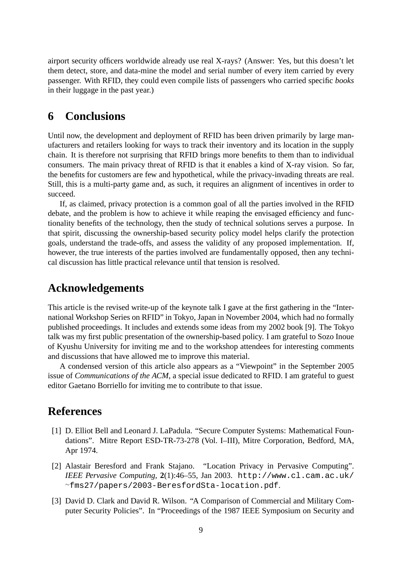airport security officers worldwide already use real X-rays? (Answer: Yes, but this doesn't let them detect, store, and data-mine the model and serial number of every item carried by every passenger. With RFID, they could even compile lists of passengers who carried specific *books* in their luggage in the past year.)

#### **6 Conclusions**

Until now, the development and deployment of RFID has been driven primarily by large manufacturers and retailers looking for ways to track their inventory and its location in the supply chain. It is therefore not surprising that RFID brings more benefits to them than to individual consumers. The main privacy threat of RFID is that it enables a kind of X-ray vision. So far, the benefits for customers are few and hypothetical, while the privacy-invading threats are real. Still, this is a multi-party game and, as such, it requires an alignment of incentives in order to succeed.

If, as claimed, privacy protection is a common goal of all the parties involved in the RFID debate, and the problem is how to achieve it while reaping the envisaged efficiency and functionality benefits of the technology, then the study of technical solutions serves a purpose. In that spirit, discussing the ownership-based security policy model helps clarify the protection goals, understand the trade-offs, and assess the validity of any proposed implementation. If, however, the true interests of the parties involved are fundamentally opposed, then any technical discussion has little practical relevance until that tension is resolved.

### **Acknowledgements**

This article is the revised write-up of the keynote talk I gave at the first gathering in the "International Workshop Series on RFID" in Tokyo, Japan in November 2004, which had no formally published proceedings. It includes and extends some ideas from my 2002 book [\[9\]](#page-9-8). The Tokyo talk was my first public presentation of the ownership-based policy. I am grateful to Sozo Inoue of Kyushu University for inviting me and to the workshop attendees for interesting comments and discussions that have allowed me to improve this material.

A condensed version of this article also appears as a "Viewpoint" in the September 2005 issue of *Communications of the ACM*, a special issue dedicated to RFID. I am grateful to guest editor Gaetano Borriello for inviting me to contribute to that issue.

#### **References**

- <span id="page-8-1"></span>[1] D. Elliot Bell and Leonard J. LaPadula. "Secure Computer Systems: Mathematical Foundations". Mitre Report ESD-TR-73-278 (Vol. I–III), Mitre Corporation, Bedford, MA, Apr 1974.
- <span id="page-8-0"></span>[2] Alastair Beresford and Frank Stajano. "Location Privacy in Pervasive Computing". *IEEE Pervasive Computing*, **2**(1):46–55, Jan 2003. [http://www.cl.cam.ac.uk/](http://www.cl.cam.ac.uk/~fms27/papers/2003-BeresfordSta-location.pdf) <sup>∼</sup>[fms27/papers/2003-BeresfordSta-location.pdf](http://www.cl.cam.ac.uk/~fms27/papers/2003-BeresfordSta-location.pdf).
- <span id="page-8-2"></span>[3] David D. Clark and David R. Wilson. "A Comparison of Commercial and Military Computer Security Policies". In "Proceedings of the 1987 IEEE Symposium on Security and